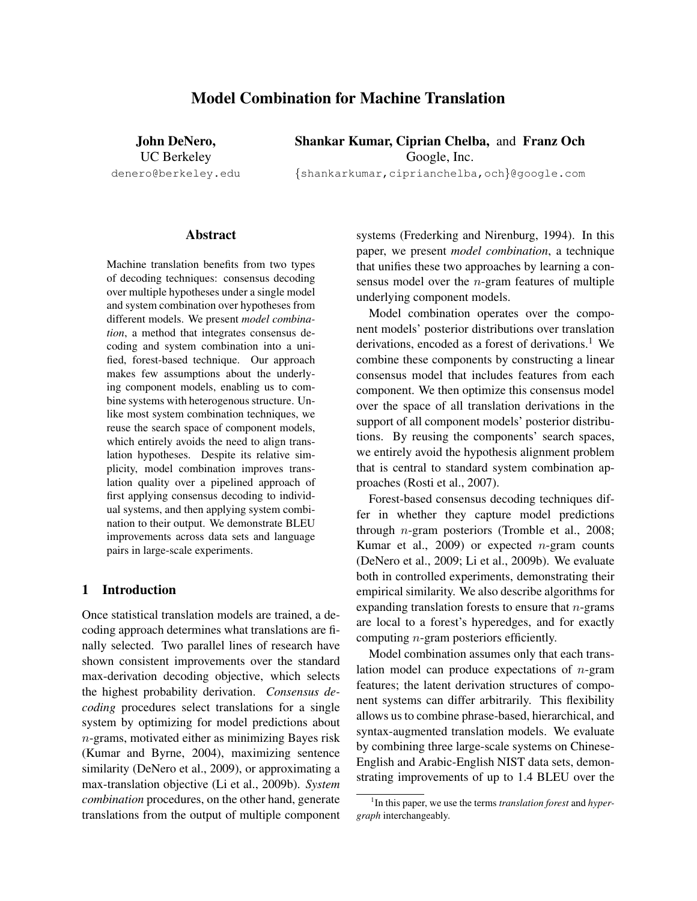# Model Combination for Machine Translation

John DeNero, Shankar Kumar, Ciprian Chelba, and Franz Och UC Berkeley Google, Inc.

denero@berkeley.edu {shankarkumar,ciprianchelba,och}@google.com

### Abstract

Machine translation benefits from two types of decoding techniques: consensus decoding over multiple hypotheses under a single model and system combination over hypotheses from different models. We present *model combination*, a method that integrates consensus decoding and system combination into a unified, forest-based technique. Our approach makes few assumptions about the underlying component models, enabling us to combine systems with heterogenous structure. Unlike most system combination techniques, we reuse the search space of component models, which entirely avoids the need to align translation hypotheses. Despite its relative simplicity, model combination improves translation quality over a pipelined approach of first applying consensus decoding to individual systems, and then applying system combination to their output. We demonstrate BLEU improvements across data sets and language pairs in large-scale experiments.

# 1 Introduction

Once statistical translation models are trained, a decoding approach determines what translations are finally selected. Two parallel lines of research have shown consistent improvements over the standard max-derivation decoding objective, which selects the highest probability derivation. *Consensus decoding* procedures select translations for a single system by optimizing for model predictions about n-grams, motivated either as minimizing Bayes risk (Kumar and Byrne, 2004), maximizing sentence similarity (DeNero et al., 2009), or approximating a max-translation objective (Li et al., 2009b). *System combination* procedures, on the other hand, generate translations from the output of multiple component systems (Frederking and Nirenburg, 1994). In this paper, we present *model combination*, a technique that unifies these two approaches by learning a consensus model over the  $n$ -gram features of multiple underlying component models.

Model combination operates over the component models' posterior distributions over translation derivations, encoded as a forest of derivations.<sup>1</sup> We combine these components by constructing a linear consensus model that includes features from each component. We then optimize this consensus model over the space of all translation derivations in the support of all component models' posterior distributions. By reusing the components' search spaces, we entirely avoid the hypothesis alignment problem that is central to standard system combination approaches (Rosti et al., 2007).

Forest-based consensus decoding techniques differ in whether they capture model predictions through n-gram posteriors (Tromble et al., 2008; Kumar et al., 2009) or expected *n*-gram counts (DeNero et al., 2009; Li et al., 2009b). We evaluate both in controlled experiments, demonstrating their empirical similarity. We also describe algorithms for expanding translation forests to ensure that  $n$ -grams are local to a forest's hyperedges, and for exactly computing n-gram posteriors efficiently.

Model combination assumes only that each translation model can produce expectations of  $n$ -gram features; the latent derivation structures of component systems can differ arbitrarily. This flexibility allows us to combine phrase-based, hierarchical, and syntax-augmented translation models. We evaluate by combining three large-scale systems on Chinese-English and Arabic-English NIST data sets, demonstrating improvements of up to 1.4 BLEU over the

<sup>1</sup> In this paper, we use the terms *translation forest* and *hypergraph* interchangeably.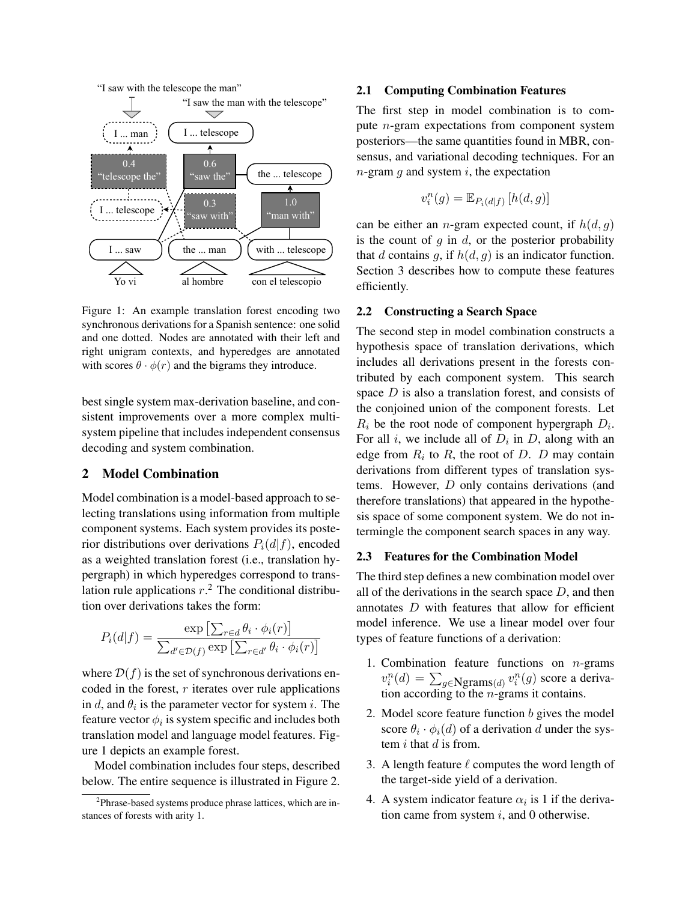



Figure 1: An example translation forest encoding two synchronous derivations for a Spanish sentence: one solid and one dotted. Nodes are annotated with their left and right unigram contexts, and hyperedges are annotated with scores  $\theta \cdot \phi(r)$  and the bigrams they introduce.

sistent improvements over a more complex multisystem pipeline that includes independent consensus best single system max-derivation baseline, and condecoding and system combination.

### 2 Model Combination

Model combination is a model-based approach to selecting translations using information from multiple component systems. Each system provides its posterior distributions over derivations  $P_i(d|f)$ , encoded as a weighted translation forest (i.e., translation hypergraph) in which hyperedges correspond to translation rule applications  $r<sup>2</sup>$ . The conditional distribution over derivations takes the form:

$$
P_i(d|f) = \frac{\exp\left[\sum_{r \in d} \theta_i \cdot \phi_i(r)\right]}{\sum_{d' \in \mathcal{D}(f)} \exp\left[\sum_{r \in d'} \theta_i \cdot \phi_i(r)\right]}
$$

where  $\mathcal{D}(f)$  is the set of synchronous derivations encoded in the forest,  $r$  iterates over rule applications in d, and  $\theta_i$  is the parameter vector for system i. The feature vector  $\phi_i$  is system specific and includes both translation model and language model features. Figure 1 depicts an example forest.

Model combination includes four steps, described below. The entire sequence is illustrated in Figure 2.

### 2.1 Computing Combination Features

The first step in model combination is to compute n-gram expectations from component system posteriors—the same quantities found in MBR, consensus, and variational decoding techniques. For an  $n$ -gram  $g$  and system  $i$ , the expectation

$$
v_i^n(g) = \mathbb{E}_{P_i(d|f)}\left[h(d,g)\right]
$$

can be either an *n*-gram expected count, if  $h(d, g)$ is the count of  $g$  in  $d$ , or the posterior probability that d contains g, if  $h(d, g)$  is an indicator function. Section 3 describes how to compute these features efficiently.

# 2.2 Constructing a Search Space

The second step in model combination constructs a hypothesis space of translation derivations, which includes all derivations present in the forests contributed by each component system. This search space  $D$  is also a translation forest, and consists of the conjoined union of the component forests. Let  $R_i$  be the root node of component hypergraph  $D_i$ . For all i, we include all of  $D_i$  in D, along with an edge from  $R_i$  to  $R$ , the root of  $D$ .  $D$  may contain derivations from different types of translation systems. However, D only contains derivations (and therefore translations) that appeared in the hypothesis space of some component system. We do not intermingle the component search spaces in any way.

### 2.3 Features for the Combination Model

The third step defines a new combination model over all of the derivations in the search space  $D$ , and then annotates  $D$  with features that allow for efficient model inference. We use a linear model over four types of feature functions of a derivation:

- 1. Combination feature functions on  $n$ -grams  $v_i^n(d) = \sum_{g \in \mathbf{N} \text{grams}(d)} v_i^n(g)$  score a derivation according to the *n*-grams it contains.
- 2. Model score feature function  $b$  gives the model score  $\theta_i \cdot \phi_i(d)$  of a derivation d under the system  $i$  that  $d$  is from.
- 3. A length feature  $\ell$  computes the word length of the target-side yield of a derivation.
- 4. A system indicator feature  $\alpha_i$  is 1 if the derivation came from system  $i$ , and 0 otherwise.

<sup>&</sup>lt;sup>2</sup>Phrase-based systems produce phrase lattices, which are instances of forests with arity 1.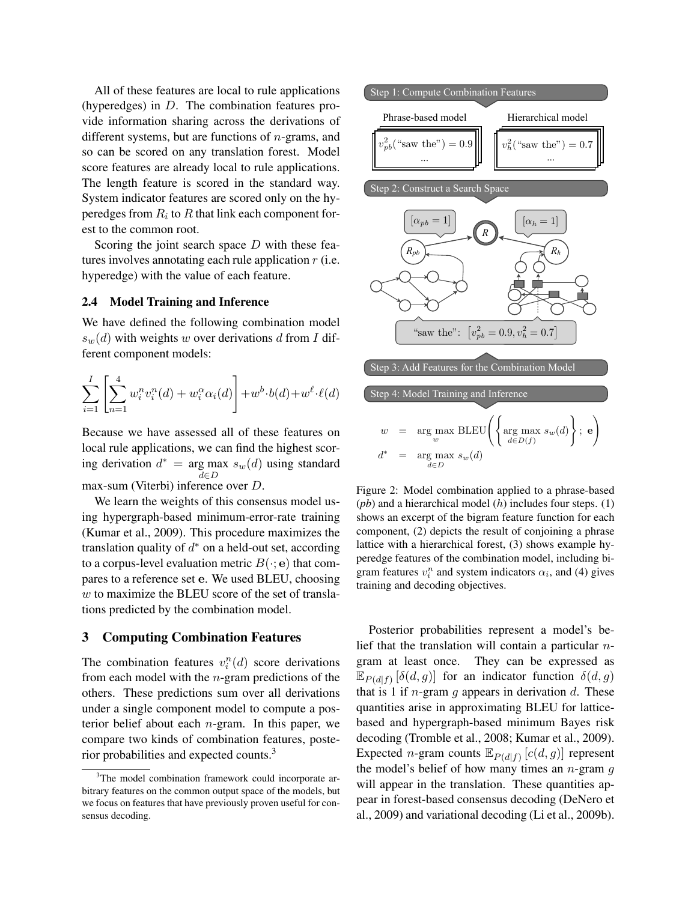All of these features are local to rule applications (hyperedges) in D. The combination features provide information sharing across the derivations of different systems, but are functions of *n*-grams, and so can be scored on any translation forest. Model score features are already local to rule applications. The length feature is scored in the standard way. System indicator features are scored only on the hyperedges from  $R_i$  to  $R$  that link each component forest to the common root.  $\frac{1}{2}$  or  $\frac{1}{2}$  is the metric of  $\frac{1}{2}$  in  $\frac{1}{2}$  is the second on any translation forest.

Scoring the joint search space D with these features involves annotating each rule application  $r$  (i.e. hyperedge) with the value of each feature.

### 2.4 Model Training and Inference

We have defined the following combination model<br> $\binom{I}{k}$  with model to a span definition of the n  $I_1$  is  $s_w(d)$  with weights w over derivations d from I different component models:

$$
\sum_{i=1}^{I} \left[ \sum_{n=1}^{4} w_i^n v_i^n(d) + w_i^{\alpha} \alpha_i(d) \right] + w^b \cdot b(d) + w^{\ell} \cdot \ell(d)
$$

Because we have assessed all of these features on *d* local rule applications, we can find the highest scor- $\alpha^*$  = arg max  $s_w(d)$  using standard d∈D max-sum (Viterbi) inference over D. *d*∈*D sw*(*d*)

We learn the weights of this consensus model using hypergraph-based minimum-error-rate training (Kumar et al., 2009). This procedure maximizes the translation quality of  $d^*$  on a held-out set, according to a corpus-level evaluation metric  $B(\cdot; e)$  that compares to a reference set e. We used BLEU, choosing  $w$  to maximize the BLEU score of the set of translations predicted by the combination model.

# 3 Computing Combination Features

The combination features  $v_i^n(d)$  score derivations from each model with the  $n$ -gram predictions of the others. These predictions sum over all derivations under a single component model to compute a posterior belief about each  $n$ -gram. In this paper, we compare two kinds of combination features, posterior probabilities and expected counts.<sup>3</sup>



Figure 2: Model combination applied to a phrase-based  $(pb)$  and a hierarchical model  $(h)$  includes four steps.  $(1)$ shows an excerpt of the bigram feature function for each component, (2) depicts the result of conjoining a phrase lattice with a hierarchical forest, (3) shows example hyperedge features of the combination model, including bigram features  $v_i^n$  and system indicators  $\alpha_i$ , and (4) gives training and decoding objectives.

Posterior probabilities represent a model's belief that the translation will contain a particular  $n$ gram at least once. They can be expressed as  $\mathbb{E}_{P(d|f)} [\delta(d,g)]$  for an indicator function  $\delta(d,g)$ that is 1 if *n*-gram  $q$  appears in derivation  $d$ . These quantities arise in approximating BLEU for latticebased and hypergraph-based minimum Bayes risk decoding (Tromble et al., 2008; Kumar et al., 2009). Expected *n*-gram counts  $\mathbb{E}_{P(d|f)}[c(d,g)]$  represent the model's belief of how many times an  $n$ -gram  $g$ will appear in the translation. These quantities appear in forest-based consensus decoding (DeNero et al., 2009) and variational decoding (Li et al., 2009b).

<sup>&</sup>lt;sup>3</sup>The model combination framework could incorporate arbitrary features on the common output space of the models, but we focus on features that have previously proven useful for consensus decoding.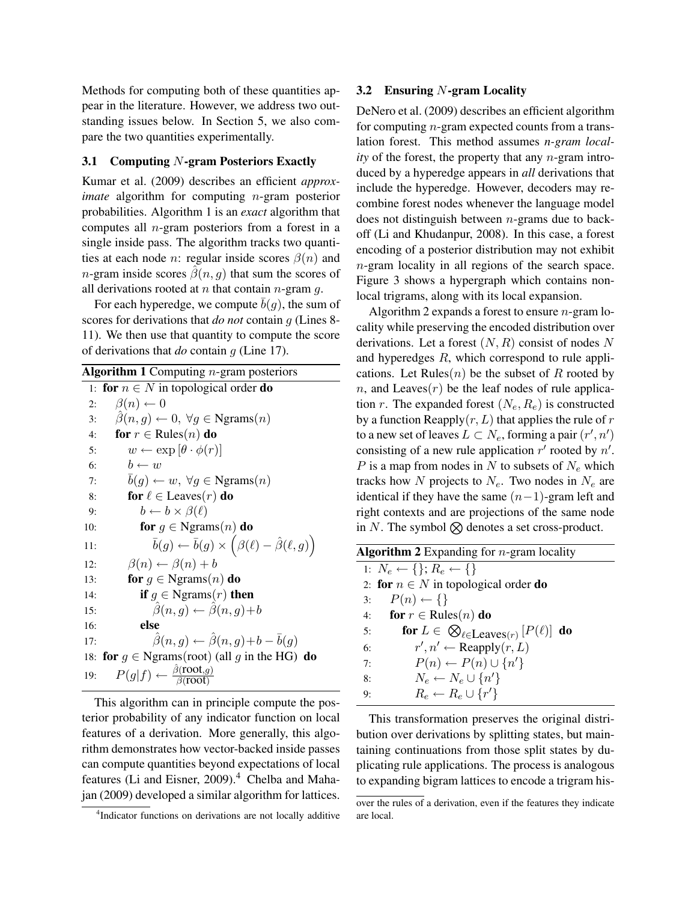Methods for computing both of these quantities appear in the literature. However, we address two outstanding issues below. In Section 5, we also compare the two quantities experimentally.

### 3.1 Computing N-gram Posteriors Exactly

Kumar et al. (2009) describes an efficient *approximate* algorithm for computing *n*-gram posterior probabilities. Algorithm 1 is an *exact* algorithm that computes all n-gram posteriors from a forest in a single inside pass. The algorithm tracks two quantities at each node *n*: regular inside scores  $\beta(n)$  and *n*-gram inside scores  $\hat{\beta}(n, q)$  that sum the scores of all derivations rooted at  $n$  that contain  $n$ -gram  $q$ .

For each hyperedge, we compute  $b(q)$ , the sum of scores for derivations that *do not* contain g (Lines 8- 11). We then use that quantity to compute the score of derivations that *do* contain g (Line 17).

|     | <b>Algorithm 1</b> Computing $n$ -gram posteriors                                       |  |  |  |
|-----|-----------------------------------------------------------------------------------------|--|--|--|
| 1:  | for $n \in N$ in topological order do                                                   |  |  |  |
| 2:  | $\beta(n) \leftarrow 0$                                                                 |  |  |  |
| 3:  | $\beta(n, g) \leftarrow 0, \forall g \in \text{Ngrams}(n)$                              |  |  |  |
| 4:  | for $r \in$ Rules $(n)$ do                                                              |  |  |  |
| 5:  | $w \leftarrow \exp[\theta \cdot \phi(r)]$                                               |  |  |  |
| 6:  | $b \leftarrow w$                                                                        |  |  |  |
| 7:  | $b(g) \leftarrow w, \forall g \in \text{Ngrams}(n)$                                     |  |  |  |
| 8:  | for $\ell \in \text{Leaves}(r)$ do                                                      |  |  |  |
| 9:  | $b \leftarrow b \times \beta(\ell)$                                                     |  |  |  |
| 10: | for $g \in \text{Ngrams}(n)$ do                                                         |  |  |  |
| 11: | $\overline{b}(g) \leftarrow \overline{b}(g) \times (\beta(\ell) - \hat{\beta}(\ell,g))$ |  |  |  |
| 12: | $\beta(n) \leftarrow \beta(n) + b$                                                      |  |  |  |
| 13: | for $g \in \text{Ngrams}(n)$ do                                                         |  |  |  |
| 14: | <b>if</b> $g \in \text{Ngrams}(r)$ then                                                 |  |  |  |
| 15: | $\hat{\beta}(n,q) \leftarrow \hat{\beta}(n,q) + b$                                      |  |  |  |
| 16: | else                                                                                    |  |  |  |
| 17: | $\hat{\beta}(n,q) \leftarrow \hat{\beta}(n,q) + b - \bar{b}(q)$                         |  |  |  |
| 18: | for $g \in \text{Ngrams}(\text{root})$ (all g in the HG) do                             |  |  |  |
| 19: | $P(g f) \leftarrow \frac{\beta(\text{root},g)}{\beta(\text{root})}$                     |  |  |  |

This algorithm can in principle compute the posterior probability of any indicator function on local features of a derivation. More generally, this algorithm demonstrates how vector-backed inside passes can compute quantities beyond expectations of local features (Li and Eisner,  $2009$ ).<sup>4</sup> Chelba and Mahajan (2009) developed a similar algorithm for lattices.

### 3.2 Ensuring  $N$ -gram Locality

DeNero et al. (2009) describes an efficient algorithm for computing n-gram expected counts from a translation forest. This method assumes *n-gram locality* of the forest, the property that any n-gram introduced by a hyperedge appears in *all* derivations that include the hyperedge. However, decoders may recombine forest nodes whenever the language model does not distinguish between  $n$ -grams due to backoff (Li and Khudanpur, 2008). In this case, a forest encoding of a posterior distribution may not exhibit n-gram locality in all regions of the search space. Figure 3 shows a hypergraph which contains nonlocal trigrams, along with its local expansion.

Algorithm 2 expands a forest to ensure  $n$ -gram locality while preserving the encoded distribution over derivations. Let a forest  $(N, R)$  consist of nodes N and hyperedges R, which correspond to rule applications. Let Rules $(n)$  be the subset of R rooted by n, and Leaves $(r)$  be the leaf nodes of rule application r. The expanded forest  $(N_e, R_e)$  is constructed by a function Reapply $(r, L)$  that applies the rule of r to a new set of leaves  $L \subset N_e$ , forming a pair  $(r', n')$ consisting of a new rule application  $r'$  rooted by  $n'$ . P is a map from nodes in N to subsets of  $N_e$  which tracks how N projects to  $N_e$ . Two nodes in  $N_e$  are identical if they have the same  $(n-1)$ -gram left and right contexts and are projections of the same node in N. The symbol  $\otimes$  denotes a set cross-product.

| <b>Algorithm 2</b> Expanding for $n$ -gram locality                   |  |  |  |  |
|-----------------------------------------------------------------------|--|--|--|--|
| 1: $N_e \leftarrow \{\}; R_e \leftarrow \{\}$                         |  |  |  |  |
| 2: for $n \in N$ in topological order do                              |  |  |  |  |
| $P(n) \leftarrow \{\}$<br>3:                                          |  |  |  |  |
| for $r \in \text{Rules}(n)$ do<br>4:                                  |  |  |  |  |
| for $L \in \bigotimes_{\ell \in \text{Leaves}(r)} [P(\ell)]$ do<br>5: |  |  |  |  |
| $r', n' \leftarrow \text{Reapply}(r, L)$<br>6:                        |  |  |  |  |
| $P(n) \leftarrow P(n) \cup \{n'\}$<br>7:                              |  |  |  |  |
| $N_e \leftarrow N_e \cup \{n'\}$<br>8:                                |  |  |  |  |
| $R_e \leftarrow R_e \cup \{r'\}$<br>9:                                |  |  |  |  |
|                                                                       |  |  |  |  |

This transformation preserves the original distribution over derivations by splitting states, but maintaining continuations from those split states by duplicating rule applications. The process is analogous to expanding bigram lattices to encode a trigram his-

<sup>4</sup> Indicator functions on derivations are not locally additive

over the rules of a derivation, even if the features they indicate are local.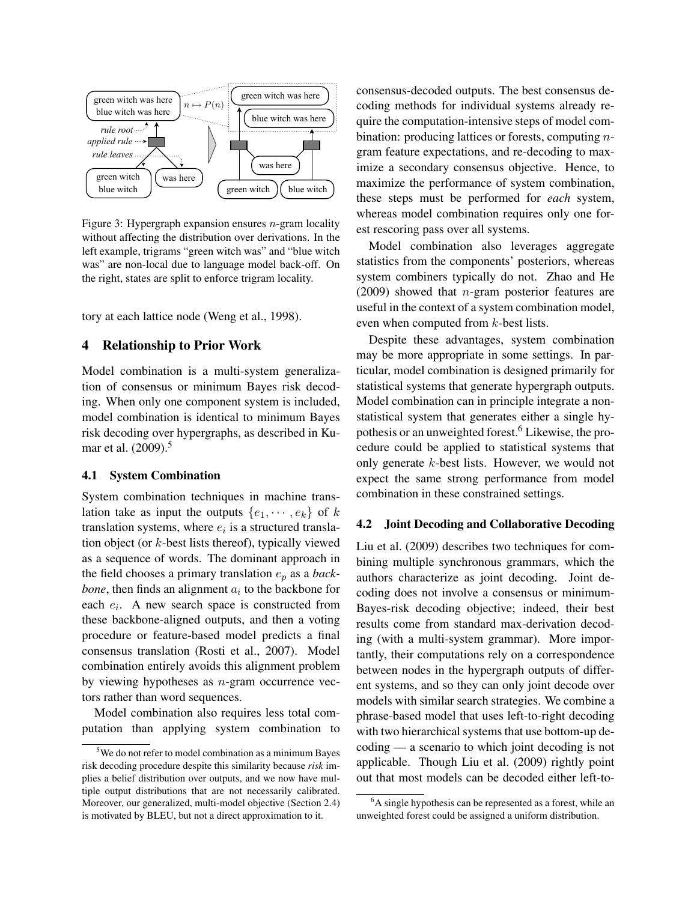

the right, states are split to enforce trigram locality. Figure 3: Hypergraph expansion ensures  $n$ -gram locality without affecting the distribution over derivations. In the left example, trigrams "green witch was" and "blue witch was" are non-local due to language model back-off. On

tory at each lattice node (Weng et al., 1998).

#### $\overline{\mathbf{v}}$ 4 Relationship to Prior Work

model combination is identical to minimum Bayes statistical Model combination is a multi-system generalization of consensus or minimum Bayes risk decoding. When only one component system is included, risk decoding over hypergraphs, as described in Kumar et al. (2009).<sup>5</sup>

#### *pb* = 0*.*9*, v*<sup>2</sup> 4.1 System Combination

*bone*, then finds an alignment  $a_i$  to the backbone for coding does lation take as input the outputs  $\{e_1, \dots, e_k\}$  of k tion object (or  $k$ -best lists thereof), typically viewed as a sequence of words. The dominant approach in the field chooses a primary translation  $e_p$  as a *back*as a sequence of words. The dominant approach in *<sup>h</sup>* = 0*.*7 System combination techniques in machine transtranslation systems, where  $e_i$  is a structured translaeach  $e_i$ . A new search space is constructed from these backbone-aligned outputs, and then a voting procedure or feature-based model predicts a final consensus translation (Rosti et al., 2007). Model combination entirely avoids this alignment problem by viewing hypotheses as  $n$ -gram occurrence vectors rather than word sequences.

> Model combination also requires less total computation than applying system combination to

consensus-decoded outputs. The best consensus decoding methods for individual systems already require the computation-intensive steps of model combination: producing lattices or forests, computing ngram feature expectations, and re-decoding to maximize a secondary consensus objective. Hence, to maximize the performance of system combination, these steps must be performed for *each* system, whereas model combination requires only one forest rescoring pass over all systems.

 $(2009)$  showed that *n*-gram posterior features are Model combination also leverages aggregate statistics from the components' posteriors, whereas system combiners typically do not. Zhao and He useful in the context of a system combination model, even when computed from k-best lists.

cedure could be applied to statistical systems that may be more appropriate in some settings. In particular, model combination is designed primarily for statistical systems that generate hypergraph outputs. Despite these advantages, system combination Model combination can in principle integrate a nonstatistical system that generates either a single hypothesis or an unweighted forest.<sup>6</sup> Likewise, the proonly generate k-best lists. However, we would not expect the same strong performance from model combination in these constrained settings.

### 4.2 Joint Decoding and Collaborative Decoding

authors characterize as joint decoding. Joint de-Liu et al. (2009) describes two techniques for combining multiple synchronous grammars, which the coding does not involve a consensus or minimum-Bayes-risk decoding objective; indeed, their best results come from standard max-derivation decoding (with a multi-system grammar). More importantly, their computations rely on a correspondence between nodes in the hypergraph outputs of different systems, and so they can only joint decode over models with similar search strategies. We combine a phrase-based model that uses left-to-right decoding with two hierarchical systems that use bottom-up decoding — a scenario to which joint decoding is not applicable. Though Liu et al. (2009) rightly point out that most models can be decoded either left-to-

<sup>&</sup>lt;sup>5</sup>We do not refer to model combination as a minimum Bayes risk decoding procedure despite this similarity because *risk* implies a belief distribution over outputs, and we now have multiple output distributions that are not necessarily calibrated. Moreover, our generalized, multi-model objective (Section 2.4) is motivated by BLEU, but not a direct approximation to it.

 ${}^{6}$ A single hypothesis can be represented as a forest, while an unweighted forest could be assigned a uniform distribution.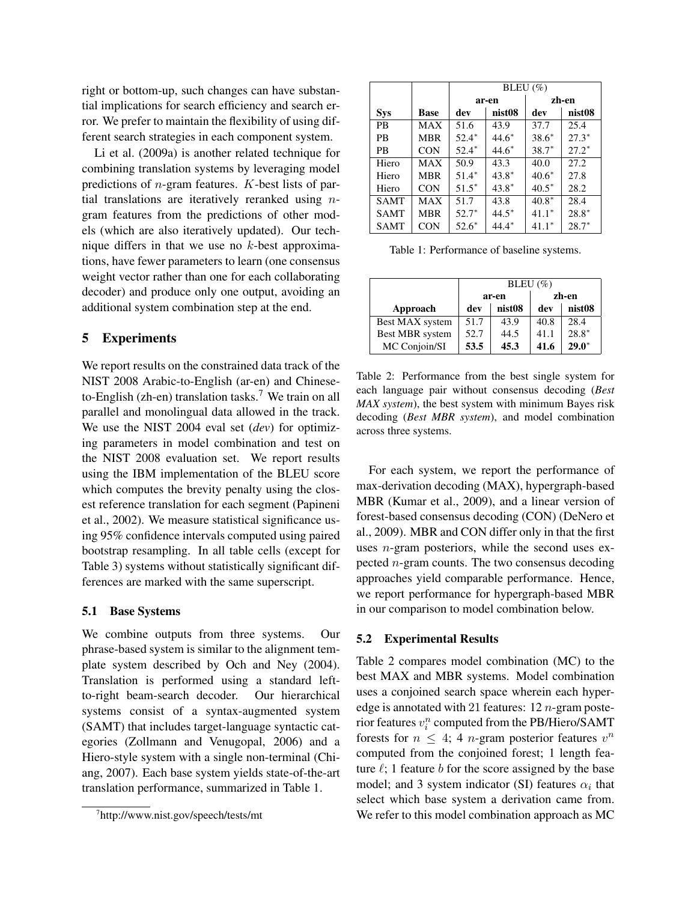right or bottom-up, such changes can have substantial implications for search efficiency and search error. We prefer to maintain the flexibility of using different search strategies in each component system.

Li et al. (2009a) is another related technique for combining translation systems by leveraging model predictions of  $n$ -gram features.  $K$ -best lists of partial translations are iteratively reranked using  $n$ gram features from the predictions of other models (which are also iteratively updated). Our technique differs in that we use no  $k$ -best approximations, have fewer parameters to learn (one consensus weight vector rather than one for each collaborating decoder) and produce only one output, avoiding an additional system combination step at the end.

# 5 Experiments

We report results on the constrained data track of the NIST 2008 Arabic-to-English (ar-en) and Chineseto-English (zh-en) translation tasks.<sup>7</sup> We train on all parallel and monolingual data allowed in the track. We use the NIST 2004 eval set (*dev*) for optimizing parameters in model combination and test on the NIST 2008 evaluation set. We report results using the IBM implementation of the BLEU score which computes the brevity penalty using the closest reference translation for each segment (Papineni et al., 2002). We measure statistical significance using 95% confidence intervals computed using paired bootstrap resampling. In all table cells (except for Table 3) systems without statistically significant differences are marked with the same superscript.

### 5.1 Base Systems

We combine outputs from three systems. Our phrase-based system is similar to the alignment template system described by Och and Ney (2004). Translation is performed using a standard leftto-right beam-search decoder. Our hierarchical systems consist of a syntax-augmented system (SAMT) that includes target-language syntactic categories (Zollmann and Venugopal, 2006) and a Hiero-style system with a single non-terminal (Chiang, 2007). Each base system yields state-of-the-art translation performance, summarized in Table 1.

|             |            | BLEU $(\% )$  |         |         |         |
|-------------|------------|---------------|---------|---------|---------|
|             |            |               | ar-en   | zh-en   |         |
| <b>Sys</b>  | Base       | nist08<br>dev |         | dev     | nist08  |
| <b>PR</b>   | MAX        | 51.6          | 43.9    | 37.7    | 25.4    |
| <b>PR</b>   | <b>MBR</b> | $52.4*$       | $44.6*$ | $38.6*$ | $27.3*$ |
| <b>PB</b>   | <b>CON</b> | $52.4*$       | $44.6*$ | $38.7*$ | $27.2*$ |
| Hiero       | MAX        | 50.9          | 43.3    | 40.0    | 27.2    |
| Hiero       | <b>MBR</b> | $51.4*$       | $43.8*$ | $40.6*$ | 27.8    |
| Hiero       | <b>CON</b> | $51.5*$       | $43.8*$ | $40.5*$ | 28.2    |
| <b>SAMT</b> | MAX        | 51.7          | 43.8    | $40.8*$ | 28.4    |
| <b>SAMT</b> | <b>MBR</b> | $52.7*$       | $44.5*$ | $41.1*$ | $28.8*$ |
| <b>SAMT</b> | <b>CON</b> | $52.6*$       | $44.4*$ | $41.1*$ | $28.7*$ |

Table 1: Performance of baseline systems.

|                        | BLEU $(\% )$   |                    |      |                    |
|------------------------|----------------|--------------------|------|--------------------|
|                        | zh-en<br>ar-en |                    |      |                    |
| Approach               | dev            | nist <sub>08</sub> | dev  | nist <sub>08</sub> |
| Best MAX system        | 51.7           | 43.9               | 40.8 | 28.4               |
| <b>Best MBR</b> system | 52.7           | 44.5               | 41.1 | $28.8*$            |
| MC Conjoin/SI          | 53.5           | 45.3               | 41.6 | $29.0*$            |

Table 2: Performance from the best single system for each language pair without consensus decoding (*Best MAX system*), the best system with minimum Bayes risk decoding (*Best MBR system*), and model combination across three systems.

For each system, we report the performance of max-derivation decoding (MAX), hypergraph-based MBR (Kumar et al., 2009), and a linear version of forest-based consensus decoding (CON) (DeNero et al., 2009). MBR and CON differ only in that the first uses  $n$ -gram posteriors, while the second uses expected  $n$ -gram counts. The two consensus decoding approaches yield comparable performance. Hence, we report performance for hypergraph-based MBR in our comparison to model combination below.

### 5.2 Experimental Results

Table 2 compares model combination (MC) to the best MAX and MBR systems. Model combination uses a conjoined search space wherein each hyperedge is annotated with 21 features:  $12 n$ -gram posterior features  $v_i^n$  computed from the PB/Hiero/SAMT forests for  $n \leq 4$ ; 4 *n*-gram posterior features  $v^n$ computed from the conjoined forest; 1 length feature  $\ell$ ; 1 feature b for the score assigned by the base model; and 3 system indicator (SI) features  $\alpha_i$  that select which base system a derivation came from. We refer to this model combination approach as MC

<sup>7</sup> http://www.nist.gov/speech/tests/mt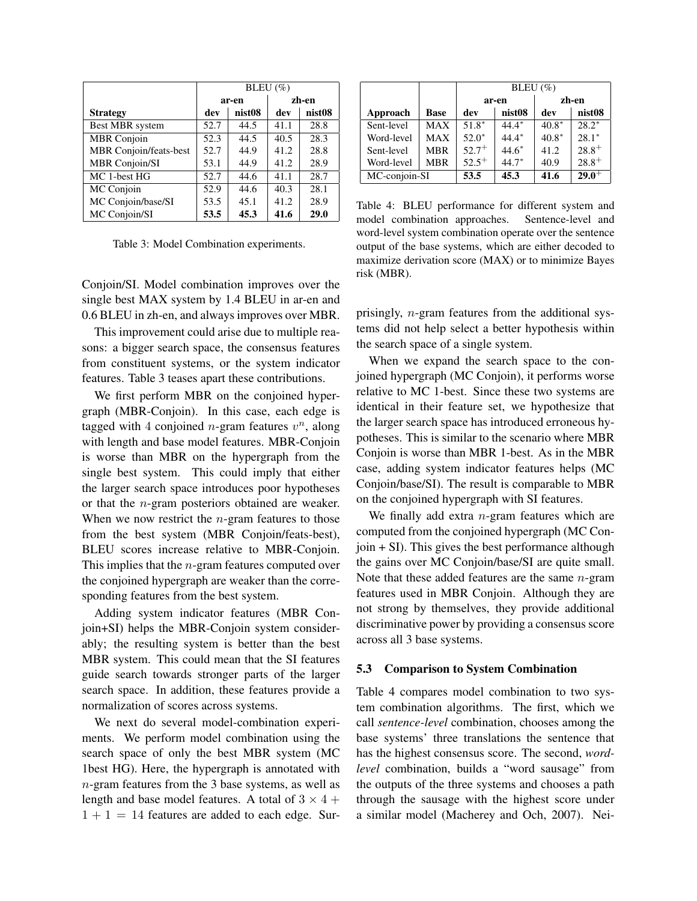|                        | BLEU $(\% )$ |                    |       |                    |  |
|------------------------|--------------|--------------------|-------|--------------------|--|
|                        |              | ar-en              | zh-en |                    |  |
| <b>Strategy</b>        | dev          | nist <sub>08</sub> | dev   | nist <sub>08</sub> |  |
| Best MBR system        | 52.7         | 44.5               | 41.1  | 28.8               |  |
| <b>MBR</b> Conjoin     | 52.3         | 44.5               | 40.5  | 28.3               |  |
| MBR Conjoin/feats-best | 52.7         | 44.9               | 41.2  | 28.8               |  |
| MBR Conjoin/SI         | 53.1         | 44.9               | 41.2  | 28.9               |  |
| MC 1-best HG           | 52.7         | 44.6               | 41.1  | 28.7               |  |
| MC Conjoin             | 52.9         | 44.6               | 40.3  | 28.1               |  |
| MC Conjoin/base/SI     | 53.5         | 45.1               | 41.2  | 28.9               |  |
| MC Conjoin/SI          | 53.5         | 45.3               | 41.6  | 29.0               |  |

Table 3: Model Combination experiments.

Conjoin/SI. Model combination improves over the single best MAX system by 1.4 BLEU in ar-en and 0.6 BLEU in zh-en, and always improves over MBR.

This improvement could arise due to multiple reasons: a bigger search space, the consensus features from constituent systems, or the system indicator features. Table 3 teases apart these contributions.

We first perform MBR on the conjoined hypergraph (MBR-Conjoin). In this case, each edge is tagged with 4 conjoined *n*-gram features  $v^n$ , along with length and base model features. MBR-Conjoin is worse than MBR on the hypergraph from the single best system. This could imply that either the larger search space introduces poor hypotheses or that the n-gram posteriors obtained are weaker. When we now restrict the  $n$ -gram features to those from the best system (MBR Conjoin/feats-best), BLEU scores increase relative to MBR-Conjoin. This implies that the  $n$ -gram features computed over the conjoined hypergraph are weaker than the corresponding features from the best system.

Adding system indicator features (MBR Conjoin+SI) helps the MBR-Conjoin system considerably; the resulting system is better than the best MBR system. This could mean that the SI features guide search towards stronger parts of the larger search space. In addition, these features provide a normalization of scores across systems.

We next do several model-combination experiments. We perform model combination using the search space of only the best MBR system (MC 1best HG). Here, the hypergraph is annotated with n-gram features from the 3 base systems, as well as length and base model features. A total of  $3 \times 4 +$  $1 + 1 = 14$  features are added to each edge. Sur-

|               |             | BLEU $(\% )$ |                    |         |                    |
|---------------|-------------|--------------|--------------------|---------|--------------------|
|               |             |              | ar-en              | zh-en   |                    |
| Approach      | <b>Base</b> | dev          | nist <sub>08</sub> | dev     | nist <sub>08</sub> |
| Sent-level    | <b>MAX</b>  | $51.8*$      | $44.4*$            | $40.8*$ | $28.2*$            |
| Word-level    | <b>MAX</b>  | $52.0*$      | $44.4*$            | $40.8*$ | $28.1*$            |
| Sent-level    | <b>MBR</b>  | $52.7^{+}$   | $44.6*$            | 41.2    | $28.8^{+}$         |
| Word-level    | <b>MBR</b>  | $52.5^{+}$   | $44.7*$            | 40.9    | $28.8^{+}$         |
| MC-conjoin-SI |             | 53.5         | 45.3               | 41.6    | $29.0^{+}$         |

Table 4: BLEU performance for different system and model combination approaches. Sentence-level and word-level system combination operate over the sentence output of the base systems, which are either decoded to maximize derivation score (MAX) or to minimize Bayes risk (MBR).

prisingly, n-gram features from the additional systems did not help select a better hypothesis within the search space of a single system.

When we expand the search space to the conjoined hypergraph (MC Conjoin), it performs worse relative to MC 1-best. Since these two systems are identical in their feature set, we hypothesize that the larger search space has introduced erroneous hypotheses. This is similar to the scenario where MBR Conjoin is worse than MBR 1-best. As in the MBR case, adding system indicator features helps (MC Conjoin/base/SI). The result is comparable to MBR on the conjoined hypergraph with SI features.

We finally add extra  $n$ -gram features which are computed from the conjoined hypergraph (MC Conjoin + SI). This gives the best performance although the gains over MC Conjoin/base/SI are quite small. Note that these added features are the same  $n$ -gram features used in MBR Conjoin. Although they are not strong by themselves, they provide additional discriminative power by providing a consensus score across all 3 base systems.

# 5.3 Comparison to System Combination

Table 4 compares model combination to two system combination algorithms. The first, which we call *sentence-level* combination, chooses among the base systems' three translations the sentence that has the highest consensus score. The second, *wordlevel* combination, builds a "word sausage" from the outputs of the three systems and chooses a path through the sausage with the highest score under a similar model (Macherey and Och, 2007). Nei-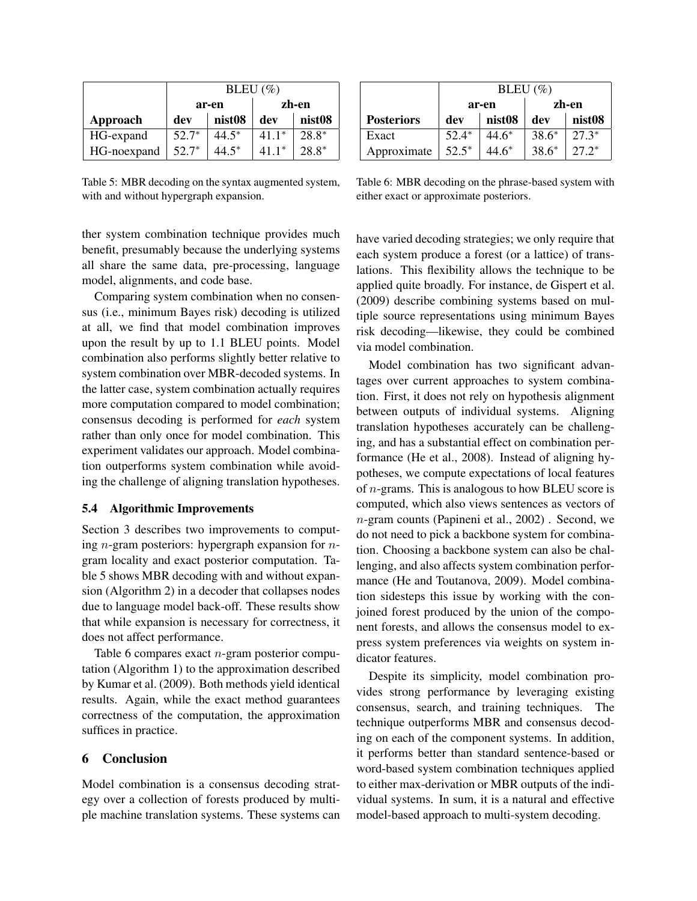|                 | BLEU $(\% )$ |                    |         |         |  |
|-----------------|--------------|--------------------|---------|---------|--|
|                 |              | ar-en              | zh-en   |         |  |
| <b>Approach</b> | dev          | nist <sub>08</sub> | dev     | nist08  |  |
| HG-expand       | $52.7*$      | $44.5*$            | $41.1*$ | 28.8*   |  |
| HG-noexpand     | $52.7*$      | $44.5*$            | $411*$  | $28.8*$ |  |

Table 5: MBR decoding on the syntax augmented system, with and without hypergraph expansion.

ther system combination technique provides much benefit, presumably because the underlying systems all share the same data, pre-processing, language model, alignments, and code base.

Comparing system combination when no consensus (i.e., minimum Bayes risk) decoding is utilized at all, we find that model combination improves upon the result by up to 1.1 BLEU points. Model combination also performs slightly better relative to system combination over MBR-decoded systems. In the latter case, system combination actually requires more computation compared to model combination; consensus decoding is performed for *each* system rather than only once for model combination. This experiment validates our approach. Model combination outperforms system combination while avoiding the challenge of aligning translation hypotheses.

# 5.4 Algorithmic Improvements

Section 3 describes two improvements to computing *n*-gram posteriors: hypergraph expansion for *n*gram locality and exact posterior computation. Table 5 shows MBR decoding with and without expansion (Algorithm 2) in a decoder that collapses nodes due to language model back-off. These results show that while expansion is necessary for correctness, it does not affect performance.

Table 6 compares exact n-gram posterior computation (Algorithm 1) to the approximation described by Kumar et al. (2009). Both methods yield identical results. Again, while the exact method guarantees correctness of the computation, the approximation suffices in practice.

# 6 Conclusion

Model combination is a consensus decoding strategy over a collection of forests produced by multiple machine translation systems. These systems can

|                   | BLEU $(\% )$ |         |         |                    |
|-------------------|--------------|---------|---------|--------------------|
|                   |              | ar-en   | zh-en   |                    |
| <b>Posteriors</b> | dev          | nist08  | dev     | nist <sub>08</sub> |
| Exact             | $52.4*$      | $44.6*$ | $38.6*$ | $27.3*$            |
| Approximate       | $52.5*$      | $44.6*$ | $38.6*$ | $27.2*$            |

Table 6: MBR decoding on the phrase-based system with either exact or approximate posteriors.

have varied decoding strategies; we only require that each system produce a forest (or a lattice) of translations. This flexibility allows the technique to be applied quite broadly. For instance, de Gispert et al. (2009) describe combining systems based on multiple source representations using minimum Bayes risk decoding—likewise, they could be combined via model combination.

Model combination has two significant advantages over current approaches to system combination. First, it does not rely on hypothesis alignment between outputs of individual systems. Aligning translation hypotheses accurately can be challenging, and has a substantial effect on combination performance (He et al., 2008). Instead of aligning hypotheses, we compute expectations of local features of  $n$ -grams. This is analogous to how BLEU score is computed, which also views sentences as vectors of n-gram counts (Papineni et al., 2002) . Second, we do not need to pick a backbone system for combination. Choosing a backbone system can also be challenging, and also affects system combination performance (He and Toutanova, 2009). Model combination sidesteps this issue by working with the conjoined forest produced by the union of the component forests, and allows the consensus model to express system preferences via weights on system indicator features.

Despite its simplicity, model combination provides strong performance by leveraging existing consensus, search, and training techniques. The technique outperforms MBR and consensus decoding on each of the component systems. In addition, it performs better than standard sentence-based or word-based system combination techniques applied to either max-derivation or MBR outputs of the individual systems. In sum, it is a natural and effective model-based approach to multi-system decoding.